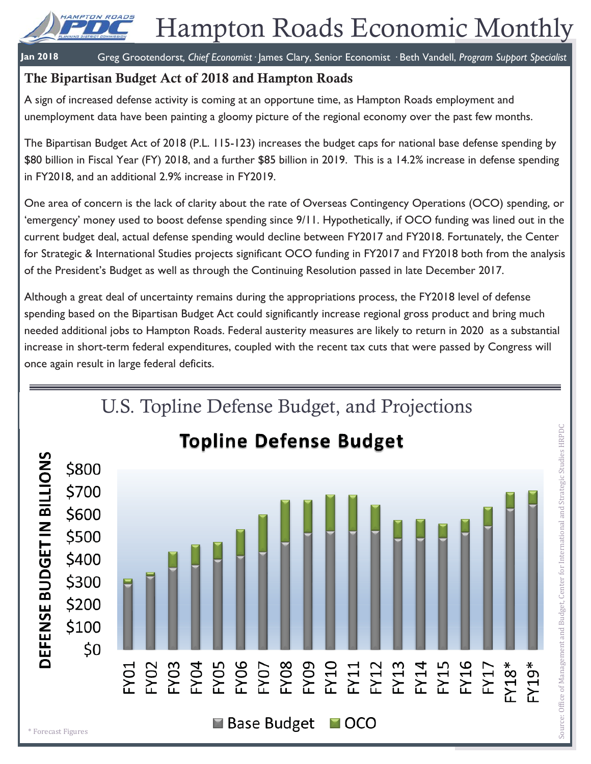

# Hampton Roads Economic Monthly

**Jan 2018** Greg Grootendorst*, Chief Economist·* James Clary, Senior Economist *·* Beth Vandell, *Program Support Specialist*

# **The Bipartisan Budget Act of 2018 and Hampton Roads**

A sign of increased defense activity is coming at an opportune time, as Hampton Roads employment and unemployment data have been painting a gloomy picture of the regional economy over the past few months.

The Bipartisan Budget Act of 2018 (P.L. 115-123) increases the budget caps for national base defense spending by \$80 billion in Fiscal Year (FY) 2018, and a further \$85 billion in 2019. This is a 14.2% increase in defense spending in FY2018, and an additional 2.9% increase in FY2019.

One area of concern is the lack of clarity about the rate of Overseas Contingency Operations (OCO) spending, or 'emergency' money used to boost defense spending since 9/11. Hypothetically, if OCO funding was lined out in the current budget deal, actual defense spending would decline between FY2017 and FY2018. Fortunately, the Center for Strategic & International Studies projects significant OCO funding in FY2017 and FY2018 both from the analysis of the President's Budget as well as through the Continuing Resolution passed in late December 2017.

Although a great deal of uncertainty remains during the appropriations process, the FY2018 level of defense spending based on the Bipartisan Budget Act could significantly increase regional gross product and bring much needed additional jobs to Hampton Roads. Federal austerity measures are likely to return in 2020 as a substantial increase in short-term federal expenditures, coupled with the recent tax cuts that were passed by Congress will once again result in large federal deficits.

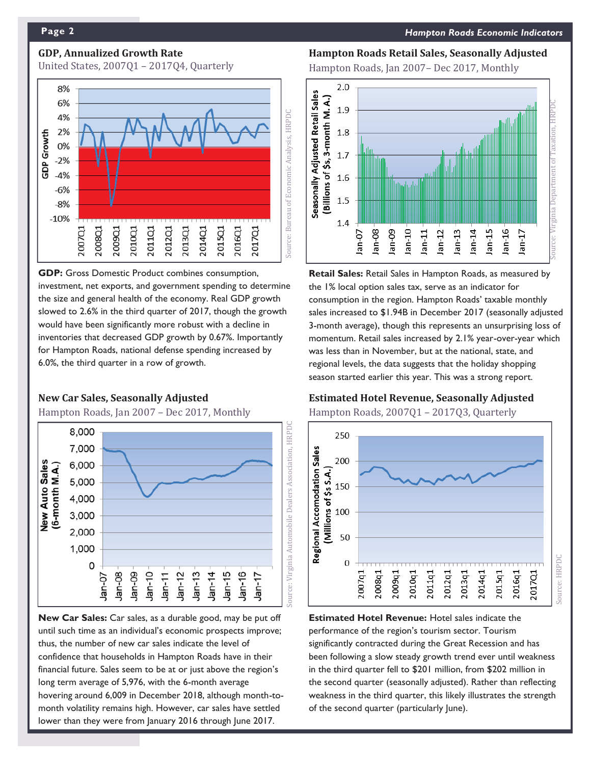# **GDP, Annualized Growth Rate**

United States, 2007Q1 – 2017Q4, Quarterly



**GDP:** Gross Domestic Product combines consumption, investment, net exports, and government spending to determine the size and general health of the economy. Real GDP growth slowed to 2.6% in the third quarter of 2017, though the growth would have been significantly more robust with a decline in inventories that decreased GDP growth by 0.67%. Importantly for Hampton Roads, national defense spending increased by 6.0%, the third quarter in a row of growth.

#### **New Car Sales, Seasonally Adjusted**

Hampton Roads, Jan 2007 – Dec 2017, Monthly



**New Car Sales:** Car sales, as a durable good, may be put off until such time as an individual's economic prospects improve; thus, the number of new car sales indicate the level of confidence that households in Hampton Roads have in their financial future. Sales seem to be at or just above the region's long term average of 5,976, with the 6-month average hovering around 6,009 in December 2018, although month-tomonth volatility remains high. However, car sales have settled lower than they were from January 2016 through June 2017.

**Hampton Roads Retail Sales, Seasonally Adjusted** 

Hampton Roads, Jan 2007– Dec 2017, Monthly



**Retail Sales:** Retail Sales in Hampton Roads, as measured by the 1% local option sales tax, serve as an indicator for consumption in the region. Hampton Roads' taxable monthly sales increased to \$1.94B in December 2017 (seasonally adjusted 3-month average), though this represents an unsurprising loss of momentum. Retail sales increased by 2.1% year-over-year which was less than in November, but at the national, state, and regional levels, the data suggests that the holiday shopping season started earlier this year. This was a strong report.

#### **Estimated Hotel Revenue, Seasonally Adjusted**

Hampton Roads, 2007Q1 – 2017Q3, Quarterly



**Estimated Hotel Revenue:** Hotel sales indicate the performance of the region's tourism sector. Tourism significantly contracted during the Great Recession and has been following a slow steady growth trend ever until weakness in the third quarter fell to \$201 million, from \$202 million in the second quarter (seasonally adjusted). Rather than reflecting weakness in the third quarter, this likely illustrates the strength of the second quarter (particularly June).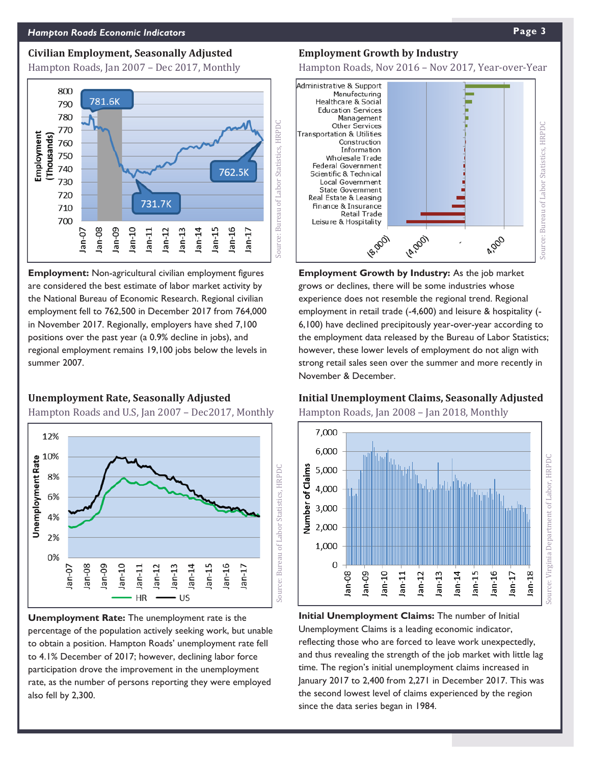#### **Civilian Employment, Seasonally Adjusted**

Hampton Roads, Jan 2007 – Dec 2017, Monthly



**Employment:** Non-agricultural civilian employment figures are considered the best estimate of labor market activity by the National Bureau of Economic Research. Regional civilian employment fell to 762,500 in December 2017 from 764,000 in November 2017. Regionally, employers have shed 7,100 positions over the past year (a 0.9% decline in jobs), and regional employment remains 19,100 jobs below the levels in summer 2007.

#### **Unemployment Rate, Seasonally Adjusted**

Hampton Roads and U.S, Jan 2007 – Dec2017, Monthly



**Unemployment Rate:** The unemployment rate is the percentage of the population actively seeking work, but unable to obtain a position. Hampton Roads' unemployment rate fell to 4.1% December of 2017; however, declining labor force participation drove the improvement in the unemployment rate, as the number of persons reporting they were employed also fell by 2,300.

#### **Employment Growth by Industry**

Hampton Roads, Nov 2016 – Nov 2017, Year-over-Year



**Employment Growth by Industry:** As the job market grows or declines, there will be some industries whose experience does not resemble the regional trend. Regional employment in retail trade (-4,600) and leisure & hospitality (- 6,100) have declined precipitously year-over-year according to the employment data released by the Bureau of Labor Statistics; however, these lower levels of employment do not align with strong retail sales seen over the summer and more recently in November & December.

### **Initial Unemployment Claims, Seasonally Adjusted**

Hampton Roads, Jan 2008 – Jan 2018, Monthly



**Initial Unemployment Claims:** The number of Initial Unemployment Claims is a leading economic indicator, reflecting those who are forced to leave work unexpectedly, and thus revealing the strength of the job market with little lag time. The region's initial unemployment claims increased in January 2017 to 2,400 from 2,271 in December 2017. This was the second lowest level of claims experienced by the region since the data series began in 1984.